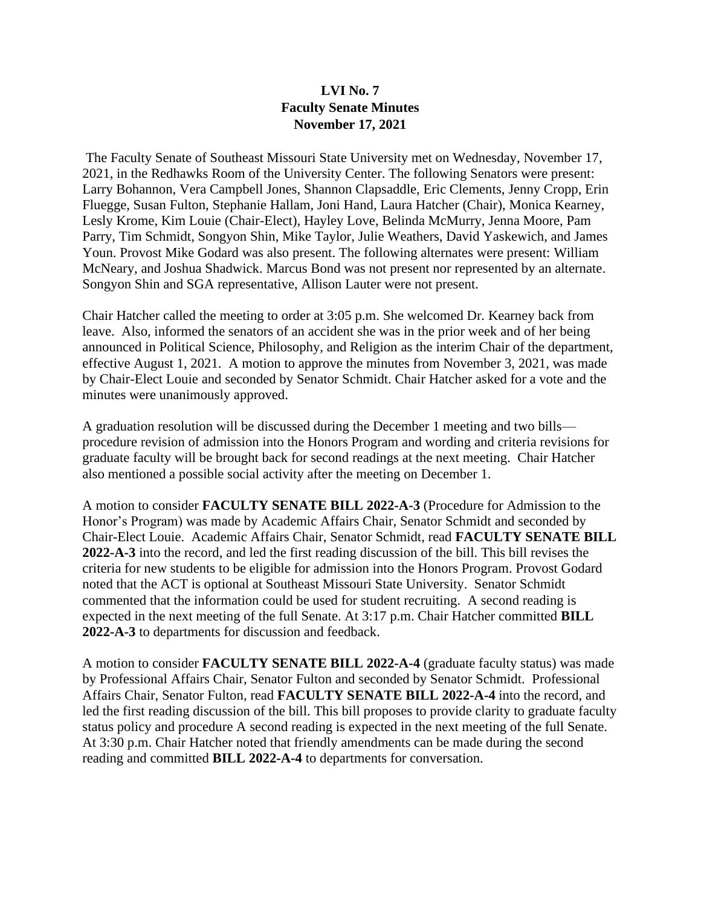## **LVI No. 7 Faculty Senate Minutes November 17, 2021**

The Faculty Senate of Southeast Missouri State University met on Wednesday, November 17, 2021, in the Redhawks Room of the University Center. The following Senators were present: Larry Bohannon, Vera Campbell Jones, Shannon Clapsaddle, Eric Clements, Jenny Cropp, Erin Fluegge, Susan Fulton, Stephanie Hallam, Joni Hand, Laura Hatcher (Chair), Monica Kearney, Lesly Krome, Kim Louie (Chair-Elect), Hayley Love, Belinda McMurry, Jenna Moore, Pam Parry, Tim Schmidt, Songyon Shin, Mike Taylor, Julie Weathers, David Yaskewich, and James Youn. Provost Mike Godard was also present. The following alternates were present: William McNeary, and Joshua Shadwick. Marcus Bond was not present nor represented by an alternate. Songyon Shin and SGA representative, Allison Lauter were not present.

Chair Hatcher called the meeting to order at 3:05 p.m. She welcomed Dr. Kearney back from leave. Also, informed the senators of an accident she was in the prior week and of her being announced in Political Science, Philosophy, and Religion as the interim Chair of the department, effective August 1, 2021. A motion to approve the minutes from November 3, 2021, was made by Chair-Elect Louie and seconded by Senator Schmidt. Chair Hatcher asked for a vote and the minutes were unanimously approved.

A graduation resolution will be discussed during the December 1 meeting and two bills procedure revision of admission into the Honors Program and wording and criteria revisions for graduate faculty will be brought back for second readings at the next meeting. Chair Hatcher also mentioned a possible social activity after the meeting on December 1.

A motion to consider **FACULTY SENATE BILL 2022-A-3** (Procedure for Admission to the Honor's Program) was made by Academic Affairs Chair, Senator Schmidt and seconded by Chair-Elect Louie. Academic Affairs Chair, Senator Schmidt, read **FACULTY SENATE BILL 2022-A-3** into the record, and led the first reading discussion of the bill. This bill revises the criteria for new students to be eligible for admission into the Honors Program. Provost Godard noted that the ACT is optional at Southeast Missouri State University. Senator Schmidt commented that the information could be used for student recruiting. A second reading is expected in the next meeting of the full Senate. At 3:17 p.m. Chair Hatcher committed **BILL 2022-A-3** to departments for discussion and feedback.

A motion to consider **FACULTY SENATE BILL 2022-A-4** (graduate faculty status) was made by Professional Affairs Chair, Senator Fulton and seconded by Senator Schmidt. Professional Affairs Chair, Senator Fulton, read **FACULTY SENATE BILL 2022-A-4** into the record, and led the first reading discussion of the bill. This bill proposes to provide clarity to graduate faculty status policy and procedure A second reading is expected in the next meeting of the full Senate. At 3:30 p.m. Chair Hatcher noted that friendly amendments can be made during the second reading and committed **BILL 2022-A-4** to departments for conversation.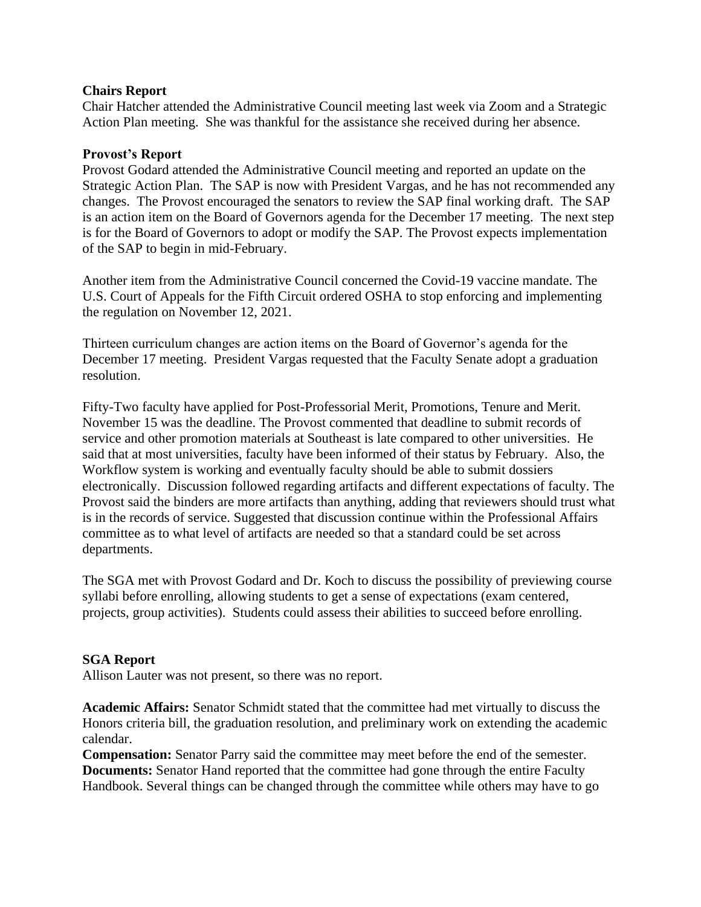## **Chairs Report**

Chair Hatcher attended the Administrative Council meeting last week via Zoom and a Strategic Action Plan meeting. She was thankful for the assistance she received during her absence.

## **Provost's Report**

Provost Godard attended the Administrative Council meeting and reported an update on the Strategic Action Plan. The SAP is now with President Vargas, and he has not recommended any changes. The Provost encouraged the senators to review the SAP final working draft. The SAP is an action item on the Board of Governors agenda for the December 17 meeting. The next step is for the Board of Governors to adopt or modify the SAP. The Provost expects implementation of the SAP to begin in mid-February.

Another item from the Administrative Council concerned the Covid-19 vaccine mandate. The U.S. Court of Appeals for the Fifth Circuit ordered OSHA to stop enforcing and implementing the regulation on November 12, 2021.

Thirteen curriculum changes are action items on the Board of Governor's agenda for the December 17 meeting. President Vargas requested that the Faculty Senate adopt a graduation resolution.

Fifty-Two faculty have applied for Post-Professorial Merit, Promotions, Tenure and Merit. November 15 was the deadline. The Provost commented that deadline to submit records of service and other promotion materials at Southeast is late compared to other universities. He said that at most universities, faculty have been informed of their status by February. Also, the Workflow system is working and eventually faculty should be able to submit dossiers electronically. Discussion followed regarding artifacts and different expectations of faculty. The Provost said the binders are more artifacts than anything, adding that reviewers should trust what is in the records of service. Suggested that discussion continue within the Professional Affairs committee as to what level of artifacts are needed so that a standard could be set across departments.

The SGA met with Provost Godard and Dr. Koch to discuss the possibility of previewing course syllabi before enrolling, allowing students to get a sense of expectations (exam centered, projects, group activities). Students could assess their abilities to succeed before enrolling.

## **SGA Report**

Allison Lauter was not present, so there was no report.

**Academic Affairs:** Senator Schmidt stated that the committee had met virtually to discuss the Honors criteria bill, the graduation resolution, and preliminary work on extending the academic calendar.

**Compensation:** Senator Parry said the committee may meet before the end of the semester. **Documents:** Senator Hand reported that the committee had gone through the entire Faculty Handbook. Several things can be changed through the committee while others may have to go